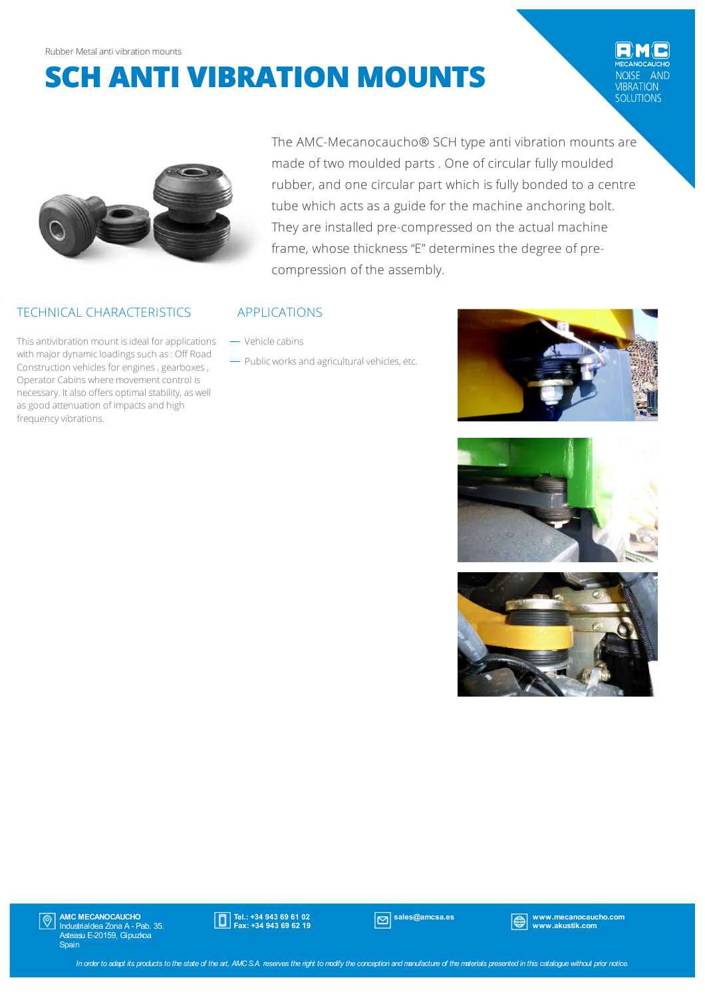# **SCH ANTI VIBRATION MOUNTS**

AND VIBRATION<br>SOLUTIONS



# TECHNICAL CHARACTERISTICS

This antivibration mount is ideal for applications with major dynamic loadings such as: Off Road Construction vehicles for engines, gearboxes, Operator Cabins where movement control is necessary. It also offers optimal stability, as well as good attenuation of impacts and high frequency vibrations.

The AMC-Mecanocaucho® SCH type anti vibration mounts are made of two moulded parts . One of circular fully moulded rubber, and one circular part which is fully bonded to a centre tube which acts as a guide for the machine anchoring bolt. They are installed pre-compressed on the actual machine frame, whose thickness "E" determines the degree of precompression of the assembly.

#### APPLICATIONS

- Vehicle cabins
- Public works and agricultural vehicles, etc.







**AMC MECANOCAUCHO**<br>Industrialdea Zona A - Pab. 35.<br>Asteasu E-20159, Gipuzkoa  $|\mathbb{O}|$ **Spain** 



sales@amcsa.es www.mecanocaucho.com www.akustik.com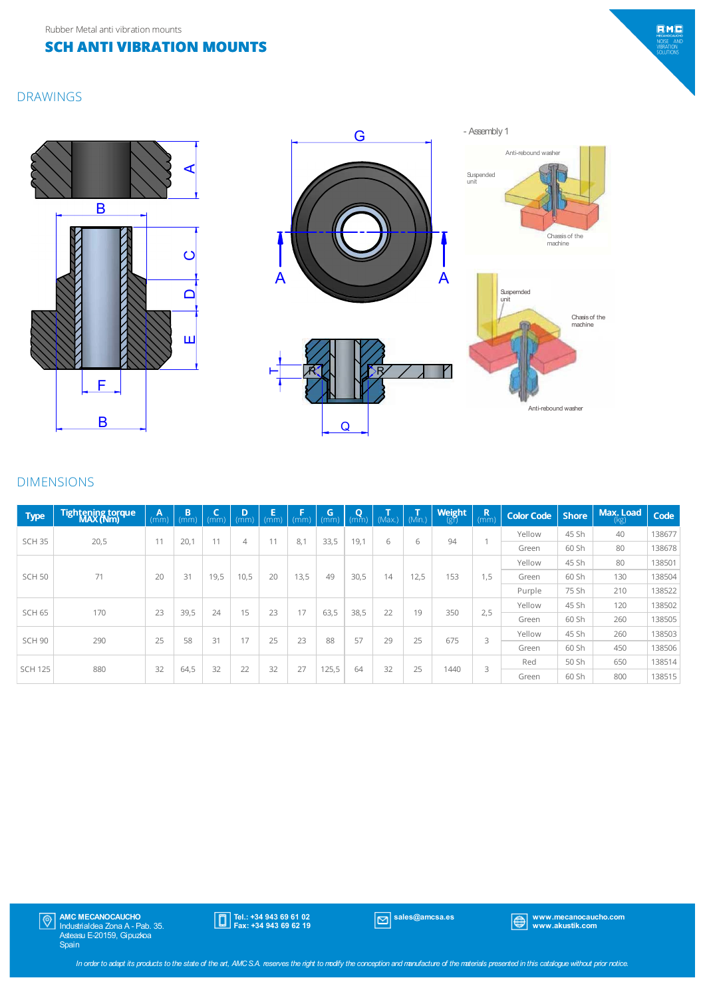## **SCH ANTI VIBRATION MOUNTS**

## DRAWINGS







- Assembly 1 Anti-rebound washer Chassisof the machine Suspended unit Suspemded unit Chasisof the machine EMO MECANOCAUCH<br>NOISE AND<br>VIBRATION<br>SOLUTIONS

Anti-rebound washer

#### DIMENSIONS

| <b>Type</b>       | Tightening torque | $\mathbf{A}$<br>(mm) | B<br>(mm) | lC.<br>(mm) | D<br>(mm) | E<br>(mm' | F<br>(mm) | G<br>(mm) | Q<br>(mm) | (Max.) | (Min.) | <b>Weight</b><br>$(g\bar{r})$ | R,<br>(mm) | <b>Color Code</b> | Shore | Max. Load<br>(kg) | Code   |
|-------------------|-------------------|----------------------|-----------|-------------|-----------|-----------|-----------|-----------|-----------|--------|--------|-------------------------------|------------|-------------------|-------|-------------------|--------|
| <b>SCH 35</b>     | 20,5              | 11                   | 20.1      | 11          | 4         | 11        | 8,1       | 33,5      | 19,1      | 6      | 6      | 94                            |            | Yellow            | 45 Sh | 40                | 138677 |
|                   |                   |                      |           |             |           |           |           |           |           |        |        |                               |            | Green             | 60 Sh | 80                | 138678 |
| <b>SCH 50</b>     | 71                | 20                   | 31        | 19,5        | 10,5      | 20        | 13,5      | 49        | 30,5      | 14     | 12,5   | 153                           | 1,5        | Yellow            | 45 Sh | 80                | 138501 |
|                   |                   |                      |           |             |           |           |           |           |           |        |        |                               |            | Green             | 60 Sh | 130               | 138504 |
|                   |                   |                      |           |             |           |           |           |           |           |        |        |                               |            | Purple            | 75 Sh | 210               | 138522 |
| <b>SCH 65</b>     | 170               | 23                   | 39,5      | 24          | 15        | 23        | 17        | 63,5      | 38,5      | 22     | 19     | 350                           | 2.5        | Yellow            | 45 Sh | 120               | 138502 |
|                   |                   |                      |           |             |           |           |           |           |           |        |        |                               |            | Green             | 60 Sh | 260               | 138505 |
| SCH <sub>90</sub> | 290               | 25                   | 58        | 31          | 17        | 25        | 23        | 88        | 57        | 29     | 25     | 675                           | 3          | Yellow            | 45 Sh | 260               | 138503 |
|                   |                   |                      |           |             |           |           |           |           |           |        |        |                               |            | Green             | 60 Sh | 450               | 138506 |
| <b>SCH 125</b>    | 880               | 32                   | 64,5      | 32          | 22        | 32        | 27        | 125,5     | 64        | 32     | 25     | 1440                          | 3          | Red               | 50 Sh | 650               | 138514 |
|                   |                   |                      |           |             |           |           |           |           |           |        |        |                               |            | Green             | 60 Sh | 800               | 138515 |



In order to adapt its products to the state of the art, AMCS.A. reserves the right to modify the conception and manufacture of the materials presented in this catalogue without prior notice.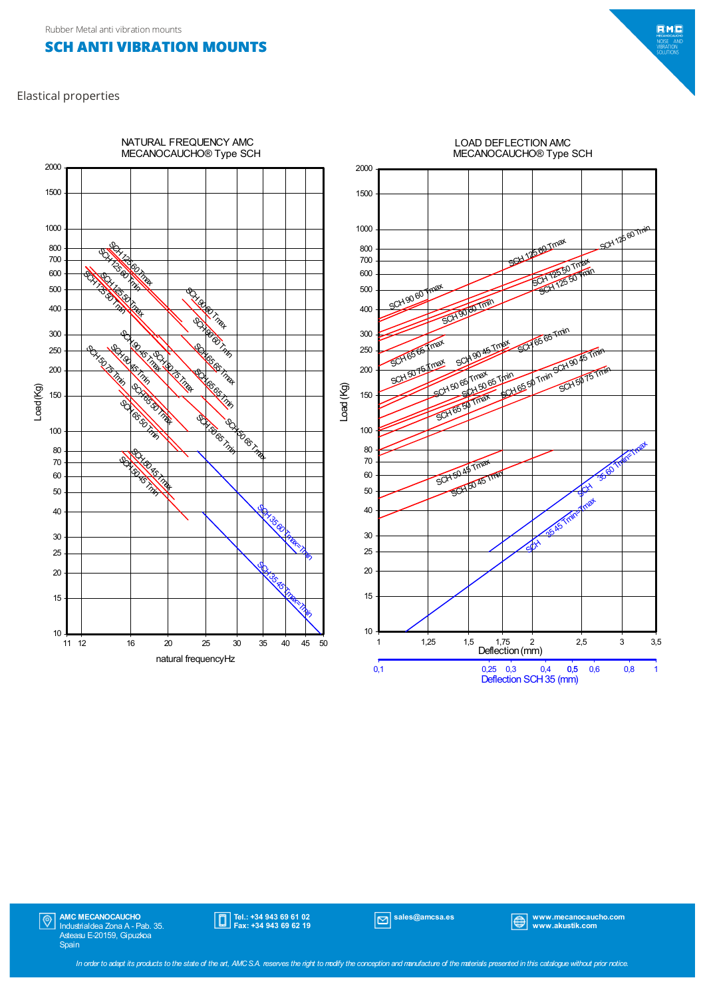### **SCH ANTI VIBRATION MOUNTS**

Elastical properties



NATURAL FREQUENCY AMC MECANOCAUCHO® Type SCH

AMC MECANOCAUCHO Industrialdea Zona A - Pab. 35. Asteasu E-20159, Gipuzkoa Spain

 $|\mathbb{Q}|$ 

Tel.: +34 943 69 61 02 Fax: +34 943 69 62 19

sales@amcsa.es www.mecanocaucho.com www.akustik.com

Deflection SCH<sub>35</sub> (mm)

LOAD DEFLECTION AMC MECANOCAUCHO<sup>®</sup> Type SCH